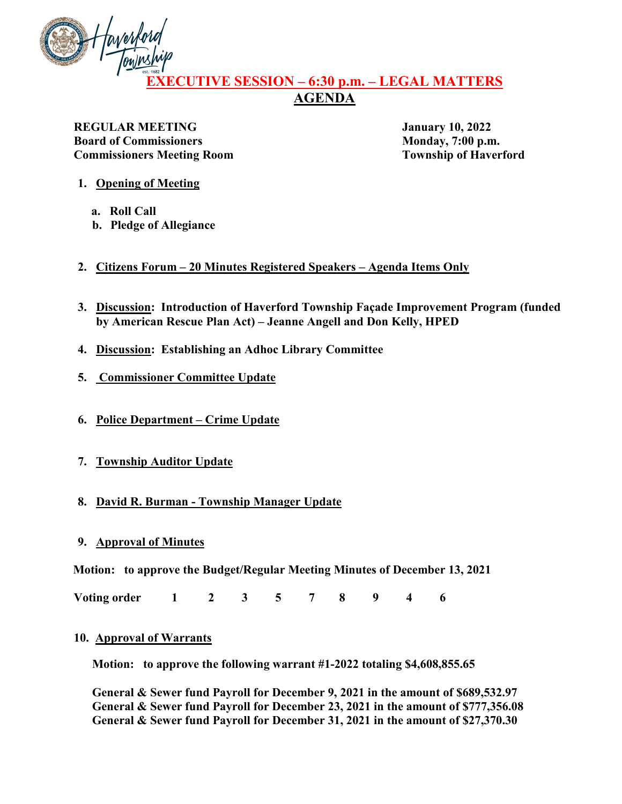

# **EXECUTIVE SESSION – 6:30 p.m. – LEGAL MATTERS AGENDA**

**REGULAR MEETING January 10, 2022 Board of Commissioners** Monday, 7:00 p.m. **Commissioners Meeting Room Township of Haverford** 

- **1. Opening of Meeting**
	- **a. Roll Call**
	- **b. Pledge of Allegiance**
- **2. Citizens Forum 20 Minutes Registered Speakers Agenda Items Only**
- **3. Discussion: Introduction of Haverford Township Façade Improvement Program (funded by American Rescue Plan Act) – Jeanne Angell and Don Kelly, HPED**
- **4. Discussion: Establishing an Adhoc Library Committee**
- **5. Commissioner Committee Update**
- **6. Police Department Crime Update**
- **7. Township Auditor Update**

# **8. David R. Burman - Township Manager Update**

**9. Approval of Minutes**

**Motion: to approve the Budget/Regular Meeting Minutes of December 13, 2021** 

**Voting order 1 2 3 5 7 8 9 4 6** 

## **10. Approval of Warrants**

**Motion: to approve the following warrant #1-2022 totaling \$4,608,855.65**

**General & Sewer fund Payroll for December 9, 2021 in the amount of \$689,532.97 General & Sewer fund Payroll for December 23, 2021 in the amount of \$777,356.08 General & Sewer fund Payroll for December 31, 2021 in the amount of \$27,370.30**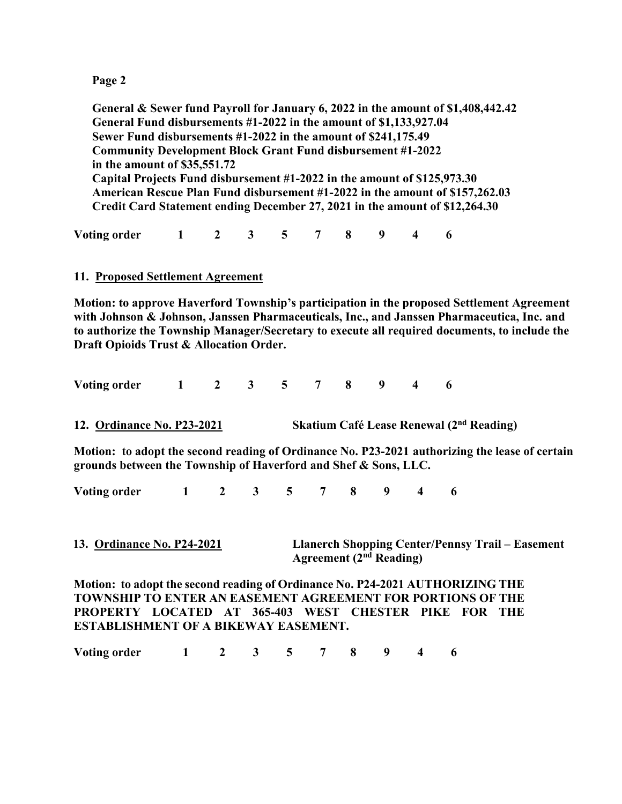**General & Sewer fund Payroll for January 6, 2022 in the amount of \$1,408,442.42 General Fund disbursements #1-2022 in the amount of \$1,133,927.04 Sewer Fund disbursements #1-2022 in the amount of \$241,175.49 Community Development Block Grant Fund disbursement #1-2022 in the amount of \$35,551.72 Capital Projects Fund disbursement #1-2022 in the amount of \$125,973.30 American Rescue Plan Fund disbursement #1-2022 in the amount of \$157,262.03 Credit Card Statement ending December 27, 2021 in the amount of \$12,264.30**

**Voting order 1 2 3 5 7 8 9 4 6** 

## **11. Proposed Settlement Agreement**

**Motion: to approve Haverford Township's participation in the proposed Settlement Agreement with Johnson & Johnson, Janssen Pharmaceuticals, Inc., and Janssen Pharmaceutica, Inc. and to authorize the Township Manager/Secretary to execute all required documents, to include the Draft Opioids Trust & Allocation Order.**

| <b>Voting order</b> |  |  |  |  |  |
|---------------------|--|--|--|--|--|
|                     |  |  |  |  |  |

**12. Ordinance No. P23-2021 Skatium Café Lease Renewal (2nd Reading)**

**Motion: to adopt the second reading of Ordinance No. P23-2021 authorizing the lease of certain grounds between the Township of Haverford and Shef & Sons, LLC.**

**Voting order 1 2 3 5 7 8 9 4 6** 

**13. Ordinance No. P24-2021 Llanerch Shopping Center/Pennsy Trail – Easement Agreement (2nd Reading)**

**Motion: to adopt the second reading of Ordinance No. P24-2021 AUTHORIZING THE TOWNSHIP TO ENTER AN EASEMENT AGREEMENT FOR PORTIONS OF THE PROPERTY LOCATED AT 365-403 WEST CHESTER PIKE FOR THE ESTABLISHMENT OF A BIKEWAY EASEMENT.**

**Voting order 1 2 3 5 7 8 9 4 6**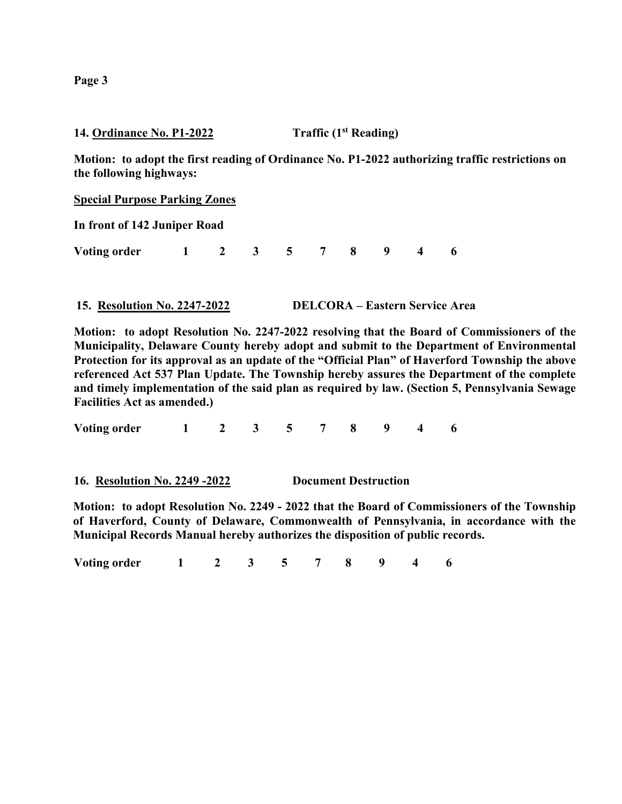**14. Ordinance No. P1-2022 Traffic (1st Reading)**

**Motion: to adopt the first reading of Ordinance No. P1-2022 authorizing traffic restrictions on the following highways:**

**Special Purpose Parking Zones**

**In front of 142 Juniper Road**

**Voting order 1 2 3 5 7 8 9 4 6** 

**15. Resolution No. 2247-2022 DELCORA – Eastern Service Area**

**Motion: to adopt Resolution No. 2247-2022 resolving that the Board of Commissioners of the Municipality, Delaware County hereby adopt and submit to the Department of Environmental Protection for its approval as an update of the "Official Plan" of Haverford Township the above referenced Act 537 Plan Update. The Township hereby assures the Department of the complete and timely implementation of the said plan as required by law. (Section 5, Pennsylvania Sewage Facilities Act as amended.)**

**Voting order 1 2 3 5 7 8 9 4 6** 

**16. Resolution No. 2249 -2022 Document Destruction**

**Motion: to adopt Resolution No. 2249 - 2022 that the Board of Commissioners of the Township of Haverford, County of Delaware, Commonwealth of Pennsylvania, in accordance with the Municipal Records Manual hereby authorizes the disposition of public records.**

**Voting order 1 2 3 5 7 8 9 4 6**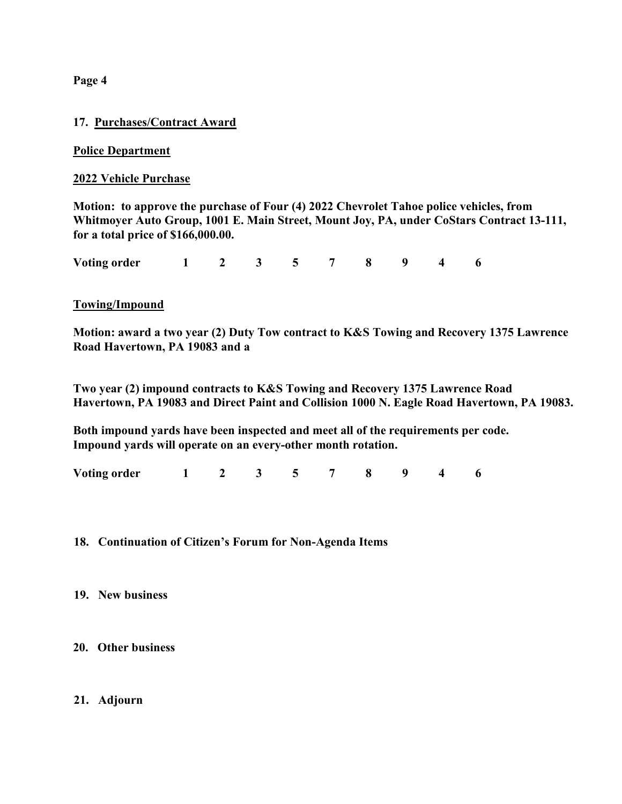## **17. Purchases/Contract Award**

## **Police Department**

#### **2022 Vehicle Purchase**

**Motion: to approve the purchase of Four (4) 2022 Chevrolet Tahoe police vehicles, from Whitmoyer Auto Group, 1001 E. Main Street, Mount Joy, PA, under CoStars Contract 13-111, for a total price of \$166,000.00.**

**Voting order 1 2 3 5 7 8 9 4 6**

#### **Towing/Impound**

**Motion: award a two year (2) Duty Tow contract to K&S Towing and Recovery 1375 Lawrence Road Havertown, PA 19083 and a**

**Two year (2) impound contracts to K&S Towing and Recovery 1375 Lawrence Road Havertown, PA 19083 and Direct Paint and Collision 1000 N. Eagle Road Havertown, PA 19083.**

**Both impound yards have been inspected and meet all of the requirements per code. Impound yards will operate on an every-other month rotation.**

**Voting order 1 2 3 5 7 8 9 4 6**

#### **18. Continuation of Citizen's Forum for Non-Agenda Items**

#### **19. New business**

## **20. Other business**

#### **21. Adjourn**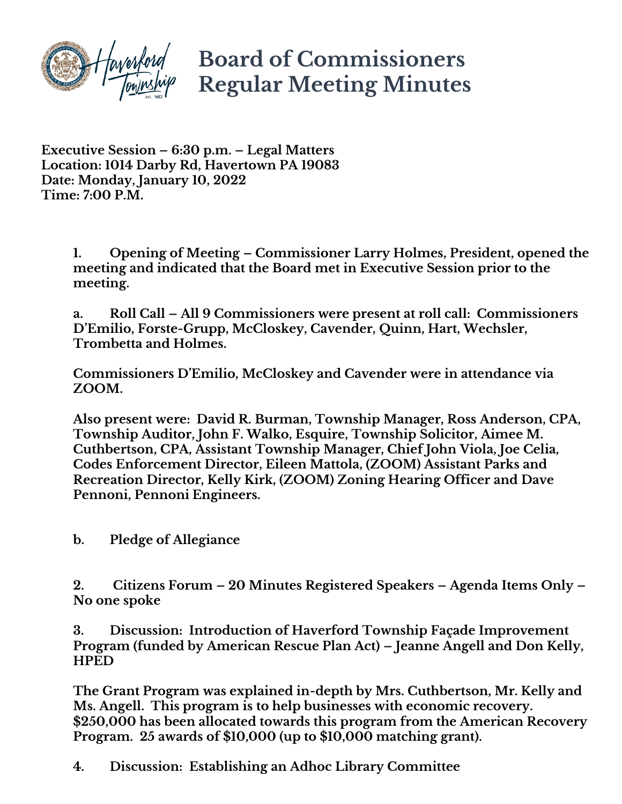

# **Board of Commissioners Regular Meeting Minutes**

**Executive Session – 6:30 p.m. – Legal Matters Location: 1014 Darby Rd, Havertown PA 19083 Date: Monday, January 10, 2022 Time: 7:00 P.M.**

> **1. Opening of Meeting – Commissioner Larry Holmes, President, opened the meeting and indicated that the Board met in Executive Session prior to the meeting.**

**a. Roll Call – All 9 Commissioners were present at roll call: Commissioners D'Emilio, Forste-Grupp, McCloskey, Cavender, Quinn, Hart, Wechsler, Trombetta and Holmes.**

**Commissioners D'Emilio, McCloskey and Cavender were in attendance via ZOOM.**

**Also present were: David R. Burman, Township Manager, Ross Anderson, CPA, Township Auditor, John F. Walko, Esquire, Township Solicitor, Aimee M. Cuthbertson, CPA, Assistant Township Manager, Chief John Viola, Joe Celia, Codes Enforcement Director, Eileen Mattola, (ZOOM) Assistant Parks and Recreation Director, Kelly Kirk, (ZOOM) Zoning Hearing Officer and Dave Pennoni, Pennoni Engineers.**

**b. Pledge of Allegiance** 

**2. Citizens Forum – 20 Minutes Registered Speakers – Agenda Items Only – No one spoke**

**3. Discussion: Introduction of Haverford Township Façade Improvement Program (funded by American Rescue Plan Act) – Jeanne Angell and Don Kelly, HPED**

**The Grant Program was explained in-depth by Mrs. Cuthbertson, Mr. Kelly and Ms. Angell. This program is to help businesses with economic recovery. \$250,000 has been allocated towards this program from the American Recovery Program. 25 awards of \$10,000 (up to \$10,000 matching grant).**

**4. Discussion: Establishing an Adhoc Library Committee**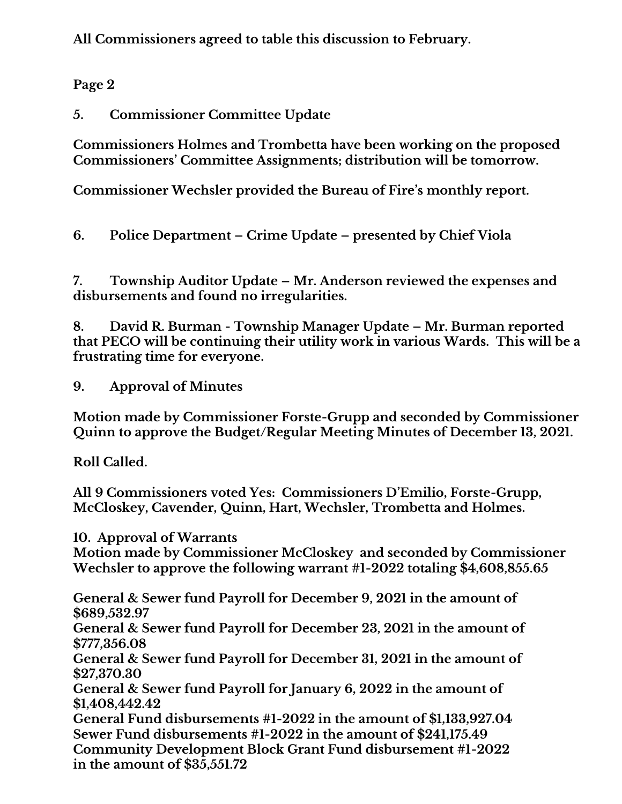**All Commissioners agreed to table this discussion to February.**

**Page 2**

**5. Commissioner Committee Update** 

**Commissioners Holmes and Trombetta have been working on the proposed Commissioners' Committee Assignments; distribution will be tomorrow.**

**Commissioner Wechsler provided the Bureau of Fire's monthly report.**

**6. Police Department – Crime Update – presented by Chief Viola**

**7. Township Auditor Update – Mr. Anderson reviewed the expenses and disbursements and found no irregularities.**

**8. David R. Burman - Township Manager Update – Mr. Burman reported that PECO will be continuing their utility work in various Wards. This will be a frustrating time for everyone.**

**9. Approval of Minutes**

**Motion made by Commissioner Forste-Grupp and seconded by Commissioner Quinn to approve the Budget/Regular Meeting Minutes of December 13, 2021.**

**Roll Called.**

**All 9 Commissioners voted Yes: Commissioners D'Emilio, Forste-Grupp, McCloskey, Cavender, Quinn, Hart, Wechsler, Trombetta and Holmes.**

**10. Approval of Warrants**

**Motion made by Commissioner McCloskey and seconded by Commissioner Wechsler to approve the following warrant #1-2022 totaling \$4,608,855.65**

**General & Sewer fund Payroll for December 9, 2021 in the amount of \$689,532.97**

**General & Sewer fund Payroll for December 23, 2021 in the amount of \$777,356.08**

**General & Sewer fund Payroll for December 31, 2021 in the amount of \$27,370.30**

**General & Sewer fund Payroll for January 6, 2022 in the amount of \$1,408,442.42**

**General Fund disbursements #1-2022 in the amount of \$1,133,927.04 Sewer Fund disbursements #1-2022 in the amount of \$241,175.49 Community Development Block Grant Fund disbursement #1-2022 in the amount of \$35,551.72**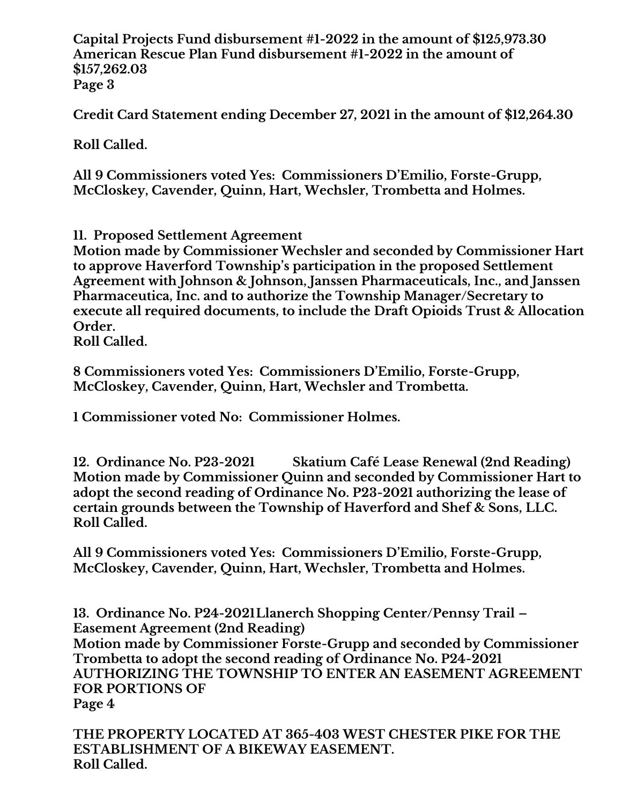**Capital Projects Fund disbursement #1-2022 in the amount of \$125,973.30 American Rescue Plan Fund disbursement #1-2022 in the amount of \$157,262.03 Page 3**

**Credit Card Statement ending December 27, 2021 in the amount of \$12,264.30**

**Roll Called.**

**All 9 Commissioners voted Yes: Commissioners D'Emilio, Forste-Grupp, McCloskey, Cavender, Quinn, Hart, Wechsler, Trombetta and Holmes.**

**11. Proposed Settlement Agreement**

**Motion made by Commissioner Wechsler and seconded by Commissioner Hart to approve Haverford Township's participation in the proposed Settlement Agreement with Johnson & Johnson, Janssen Pharmaceuticals, Inc., and Janssen Pharmaceutica, Inc. and to authorize the Township Manager/Secretary to execute all required documents, to include the Draft Opioids Trust & Allocation Order.**

**Roll Called.**

**8 Commissioners voted Yes: Commissioners D'Emilio, Forste-Grupp, McCloskey, Cavender, Quinn, Hart, Wechsler and Trombetta.**

**1 Commissioner voted No: Commissioner Holmes.**

**12. Ordinance No. P23-2021 Skatium Café Lease Renewal (2nd Reading) Motion made by Commissioner Quinn and seconded by Commissioner Hart to adopt the second reading of Ordinance No. P23-2021 authorizing the lease of certain grounds between the Township of Haverford and Shef & Sons, LLC. Roll Called.**

**All 9 Commissioners voted Yes: Commissioners D'Emilio, Forste-Grupp, McCloskey, Cavender, Quinn, Hart, Wechsler, Trombetta and Holmes.**

**13. Ordinance No. P24-2021Llanerch Shopping Center/Pennsy Trail – Easement Agreement (2nd Reading) Motion made by Commissioner Forste-Grupp and seconded by Commissioner Trombetta to adopt the second reading of Ordinance No. P24-2021 AUTHORIZING THE TOWNSHIP TO ENTER AN EASEMENT AGREEMENT FOR PORTIONS OF Page 4**

**THE PROPERTY LOCATED AT 365-403 WEST CHESTER PIKE FOR THE ESTABLISHMENT OF A BIKEWAY EASEMENT. Roll Called.**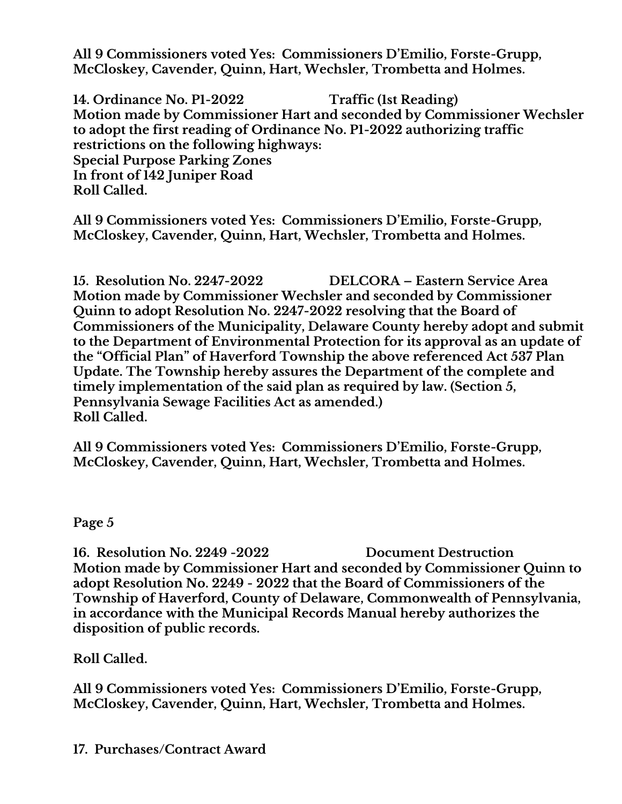**All 9 Commissioners voted Yes: Commissioners D'Emilio, Forste-Grupp, McCloskey, Cavender, Quinn, Hart, Wechsler, Trombetta and Holmes.**

**14. Ordinance No. P1-2022 Traffic (1st Reading) Motion made by Commissioner Hart and seconded by Commissioner Wechsler to adopt the first reading of Ordinance No. P1-2022 authorizing traffic restrictions on the following highways: Special Purpose Parking Zones In front of 142 Juniper Road Roll Called.** 

**All 9 Commissioners voted Yes: Commissioners D'Emilio, Forste-Grupp, McCloskey, Cavender, Quinn, Hart, Wechsler, Trombetta and Holmes.**

**15. Resolution No. 2247-2022 DELCORA – Eastern Service Area Motion made by Commissioner Wechsler and seconded by Commissioner Quinn to adopt Resolution No. 2247-2022 resolving that the Board of Commissioners of the Municipality, Delaware County hereby adopt and submit to the Department of Environmental Protection for its approval as an update of the "Official Plan" of Haverford Township the above referenced Act 537 Plan Update. The Township hereby assures the Department of the complete and timely implementation of the said plan as required by law. (Section 5, Pennsylvania Sewage Facilities Act as amended.) Roll Called.**

**All 9 Commissioners voted Yes: Commissioners D'Emilio, Forste-Grupp, McCloskey, Cavender, Quinn, Hart, Wechsler, Trombetta and Holmes.**

# **Page 5**

**16. Resolution No. 2249 -2022 Document Destruction Motion made by Commissioner Hart and seconded by Commissioner Quinn to adopt Resolution No. 2249 - 2022 that the Board of Commissioners of the Township of Haverford, County of Delaware, Commonwealth of Pennsylvania, in accordance with the Municipal Records Manual hereby authorizes the disposition of public records.**

**Roll Called.** 

**All 9 Commissioners voted Yes: Commissioners D'Emilio, Forste-Grupp, McCloskey, Cavender, Quinn, Hart, Wechsler, Trombetta and Holmes.**

**17. Purchases/Contract Award**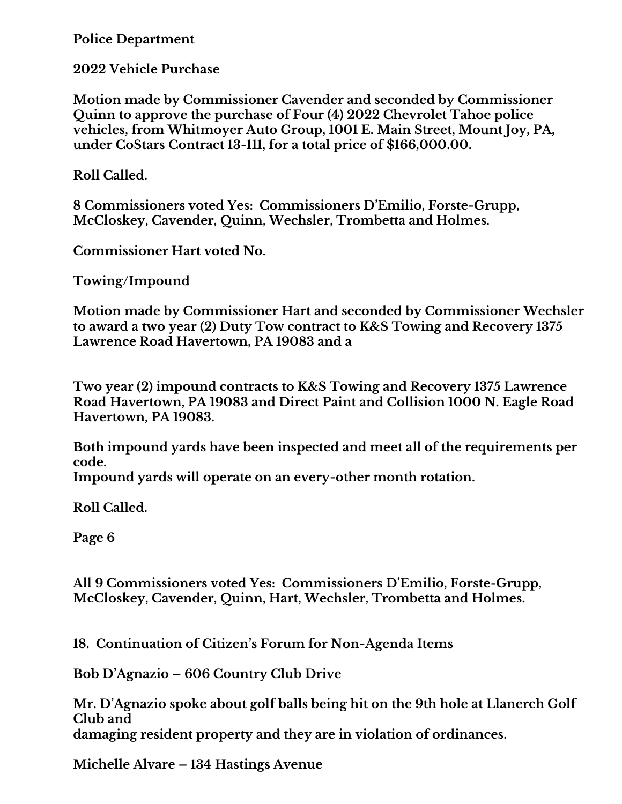**Police Department**

**2022 Vehicle Purchase**

**Motion made by Commissioner Cavender and seconded by Commissioner Quinn to approve the purchase of Four (4) 2022 Chevrolet Tahoe police vehicles, from Whitmoyer Auto Group, 1001 E. Main Street, Mount Joy, PA, under CoStars Contract 13-111, for a total price of \$166,000.00.**

**Roll Called.**

**8 Commissioners voted Yes: Commissioners D'Emilio, Forste-Grupp, McCloskey, Cavender, Quinn, Wechsler, Trombetta and Holmes.**

**Commissioner Hart voted No.**

**Towing/Impound**

**Motion made by Commissioner Hart and seconded by Commissioner Wechsler to award a two year (2) Duty Tow contract to K&S Towing and Recovery 1375 Lawrence Road Havertown, PA 19083 and a**

**Two year (2) impound contracts to K&S Towing and Recovery 1375 Lawrence Road Havertown, PA 19083 and Direct Paint and Collision 1000 N. Eagle Road Havertown, PA 19083.**

**Both impound yards have been inspected and meet all of the requirements per code.**

**Impound yards will operate on an every-other month rotation.**

**Roll Called.**

**Page 6**

**All 9 Commissioners voted Yes: Commissioners D'Emilio, Forste-Grupp, McCloskey, Cavender, Quinn, Hart, Wechsler, Trombetta and Holmes.**

**18. Continuation of Citizen's Forum for Non-Agenda Items** 

**Bob D'Agnazio – 606 Country Club Drive** 

**Mr. D'Agnazio spoke about golf balls being hit on the 9th hole at Llanerch Golf Club and damaging resident property and they are in violation of ordinances.**

**Michelle Alvare – 134 Hastings Avenue**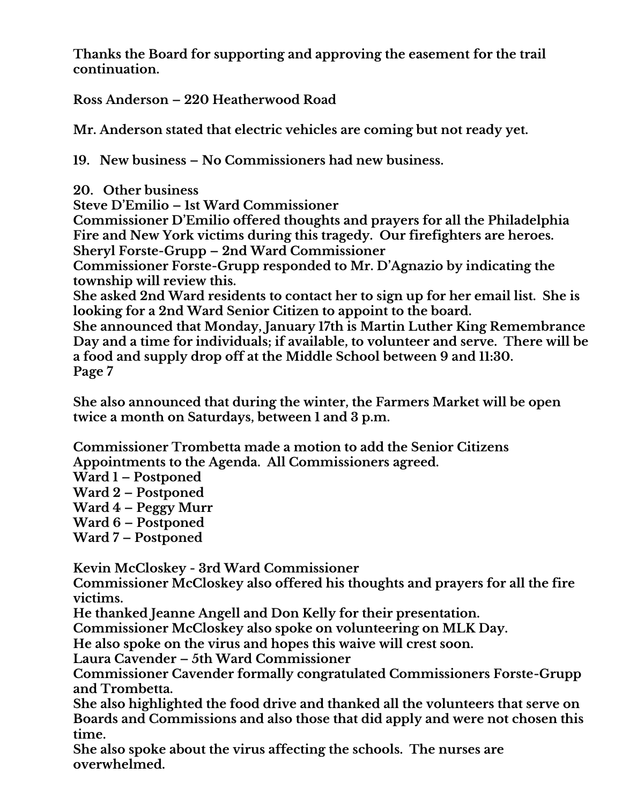**Thanks the Board for supporting and approving the easement for the trail continuation.**

**Ross Anderson – 220 Heatherwood Road**

**Mr. Anderson stated that electric vehicles are coming but not ready yet.**

**19. New business – No Commissioners had new business.**

**20. Other business**

**Steve D'Emilio – 1st Ward Commissioner**

**Commissioner D'Emilio offered thoughts and prayers for all the Philadelphia Fire and New York victims during this tragedy. Our firefighters are heroes. Sheryl Forste-Grupp – 2nd Ward Commissioner**

**Commissioner Forste-Grupp responded to Mr. D'Agnazio by indicating the township will review this.**

**She asked 2nd Ward residents to contact her to sign up for her email list. She is looking for a 2nd Ward Senior Citizen to appoint to the board.**

**She announced that Monday, January 17th is Martin Luther King Remembrance Day and a time for individuals; if available, to volunteer and serve. There will be a food and supply drop off at the Middle School between 9 and 11:30. Page 7**

**She also announced that during the winter, the Farmers Market will be open twice a month on Saturdays, between 1 and 3 p.m.**

**Commissioner Trombetta made a motion to add the Senior Citizens Appointments to the Agenda. All Commissioners agreed.**

**Ward 1 – Postponed**

**Ward 2 – Postponed**

**Ward 4 – Peggy Murr**

**Ward 6 – Postponed**

**Ward 7 – Postponed**

**Kevin McCloskey - 3rd Ward Commissioner**

**Commissioner McCloskey also offered his thoughts and prayers for all the fire victims.**

**He thanked Jeanne Angell and Don Kelly for their presentation.**

**Commissioner McCloskey also spoke on volunteering on MLK Day.**

**He also spoke on the virus and hopes this waive will crest soon.**

**Laura Cavender – 5th Ward Commissioner**

**Commissioner Cavender formally congratulated Commissioners Forste-Grupp and Trombetta.**

**She also highlighted the food drive and thanked all the volunteers that serve on Boards and Commissions and also those that did apply and were not chosen this time.**

**She also spoke about the virus affecting the schools. The nurses are overwhelmed.**